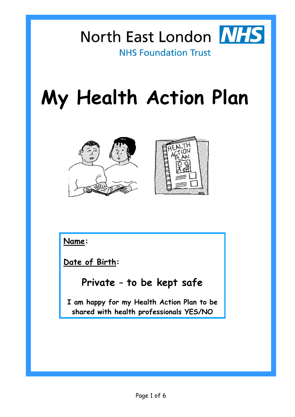

**NHS Foundation Trust** 

# **My Health Action Plan**



**Name:** 

**Date of Birth:**

#### **Private – to be kept safe**

**I am happy for my Health Action Plan to be shared with health professionals YES/NO**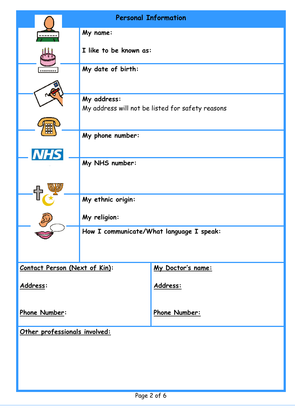|                               | <b>Personal Information</b>                                     |                   |
|-------------------------------|-----------------------------------------------------------------|-------------------|
|                               | My name:                                                        |                   |
|                               | I like to be known as:                                          |                   |
|                               | My date of birth:                                               |                   |
|                               |                                                                 |                   |
|                               | My address:<br>My address will not be listed for safety reasons |                   |
|                               |                                                                 |                   |
|                               | My phone number:                                                |                   |
|                               | My NHS number:                                                  |                   |
|                               |                                                                 |                   |
|                               | My ethnic origin:                                               |                   |
|                               | My religion:                                                    |                   |
|                               | How I communicate/What language I speak:                        |                   |
|                               |                                                                 |                   |
| Contact Person (Next of Kin): |                                                                 | My Doctor's name: |
| Address:                      |                                                                 | Address:          |
| Phone Number:                 |                                                                 | Phone Number:     |
| Other professionals involved: |                                                                 |                   |
|                               |                                                                 |                   |
|                               |                                                                 |                   |
|                               |                                                                 |                   |
|                               |                                                                 |                   |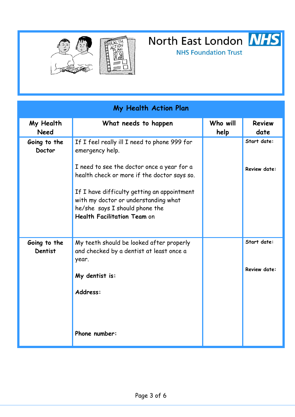

**NHS Foundation Trust** 

| My Health Action Plan         |                                                                                                                                                                                                            |                  |                                    |
|-------------------------------|------------------------------------------------------------------------------------------------------------------------------------------------------------------------------------------------------------|------------------|------------------------------------|
| My Health<br><b>Need</b>      | What needs to happen                                                                                                                                                                                       | Who will<br>help | <b>Review</b><br>date              |
| Going to the<br><b>Doctor</b> | If I feel really ill I need to phone 999 for<br>emergency help.<br>I need to see the doctor once a year for a                                                                                              |                  | Start date:<br><b>Review date:</b> |
|                               | health check or more if the doctor says so.<br>If I have difficulty getting an appointment<br>with my doctor or understanding what<br>he/she says I should phone the<br><b>Health Facilitation Team on</b> |                  |                                    |
| Going to the<br>Dentist       | My teeth should be looked after properly<br>and checked by a dentist at least once a<br>year.<br>My dentist is:<br>Address:                                                                                |                  | Start date:<br><b>Review date:</b> |
|                               | Phone number:                                                                                                                                                                                              |                  |                                    |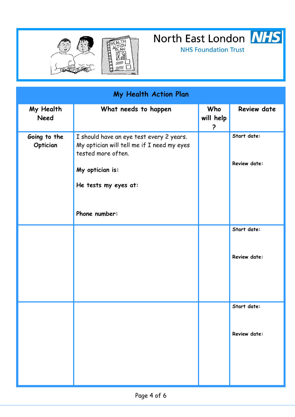

**NHS Foundation Trust** 

| My Health Action Plan    |                                                                                                                                                                          |                       |                             |
|--------------------------|--------------------------------------------------------------------------------------------------------------------------------------------------------------------------|-----------------------|-----------------------------|
| My Health<br><b>Need</b> | What needs to happen                                                                                                                                                     | Who<br>will help<br>? | <b>Review date</b>          |
| Going to the<br>Optician | I should have an eye test every 2 years.<br>My optician will tell me if I need my eyes<br>tested more often.<br>My optician is:<br>He tests my eyes at:<br>Phone number: |                       | Start date:<br>Review date: |
|                          |                                                                                                                                                                          |                       | Start date:<br>Review date: |
|                          |                                                                                                                                                                          |                       | Start date:<br>Review date: |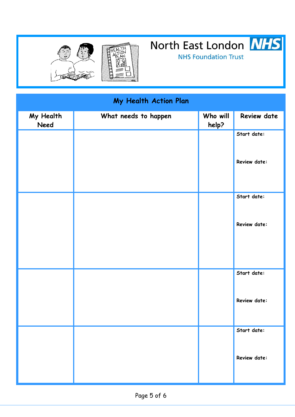

**NHS Foundation Trust** 

| My Health Action Plan |                      |                   |              |
|-----------------------|----------------------|-------------------|--------------|
| My Health<br>Need     | What needs to happen | Who will<br>help? | Review date  |
|                       |                      |                   | Start date:  |
|                       |                      |                   | Review date: |
|                       |                      |                   | Start date:  |
|                       |                      |                   | Review date: |
|                       |                      |                   | Start date:  |
|                       |                      |                   | Review date: |
|                       |                      |                   | Start date:  |
|                       |                      |                   | Review date: |